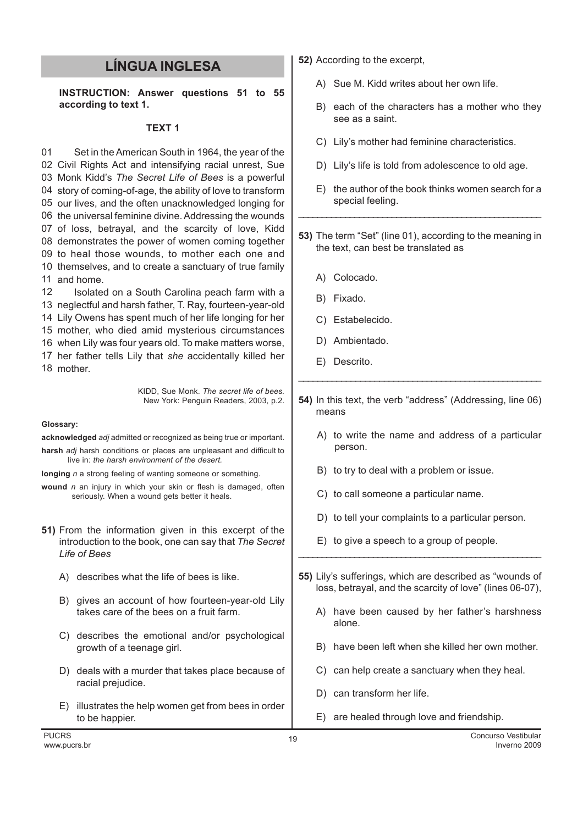## LÍNGUA INGLESA

INSTRUCTION: Answer questions 51 to 55 according to text 1.

## TEXT 1

01 Civil Rights Act and intensifying racial unrest, Sue 03 Monk Kidd's The Secret Life of Bees is a powerful story of coming-of-age, the ability of love to transform our lives, and the often unacknowledged longing for the universal feminine divine. Addressing the wounds of loss, betrayal, and the scarcity of love, Kidd demonstrates the power of women coming together to heal those wounds, to mother each one and themselves, and to create a sanctuary of true family and home. Set in the American South in 1964, the year of the

12 13 neglectful and harsh father, T. Ray, fourteen-year-old 14 Lily Owens has spent much of her life longing for her 15 mother, who died amid mysterious circumstances 16 when Lily was four years old. To make matters worse, 17 her father tells Lily that she accidentally killed her 18 mother. Isolated on a South Carolina peach farm with a

> KIDD, Sue Monk. The secret life of bees. New York: Penguin Readers, 2003, p.2.

## Glossary:

acknowledged adj admitted or recognized as being true or important. harsh *adi* harsh conditions or places are unpleasant and difficult to live in: the harsh environment of the desert.

longing n a strong feeling of wanting someone or something.

wound  $n$  an injury in which your skin or flesh is damaged, often seriously. When a wound gets better it heals.

- 51) From the information given in this excerpt of the introduction to the book, one can say that The Secret Life of Bees
	- A) describes what the life of bees is like.
	- B) gives an account of how fourteen-year-old Lily takes care of the bees on a fruit farm.
	- C) describes the emotional and/or psychological growth of a teenage girl.
	- D) deals with a murder that takes place because of racial prejudice.
	- E) illustrates the help women get from bees in order to be happier.
- 52) According to the excerpt,
	- A) Sue M. Kidd writes about her own life.
	- B) each of the characters has a mother who they see as a saint.
	- C) Lily's mother had feminine characteristics.
	- D) Lily's life is told from adolescence to old age.
	- E) the author of the book thinks women search for a special feeling.
- 53) The term "Set" (line 01), according to the meaning in the text, can best be translated as

\_\_\_\_\_\_\_\_\_\_\_\_\_\_\_\_\_\_\_\_\_\_\_\_\_\_\_\_\_\_\_\_\_\_\_\_\_\_\_\_\_\_\_\_\_\_\_\_\_\_\_\_

- A) Colocado.
- B) Fixado.
- C) Estabelecido.
- D) Ambientado.
- E) Descrito.
- 54) In this text, the verb "address" (Addressing, line 06) means

\_\_\_\_\_\_\_\_\_\_\_\_\_\_\_\_\_\_\_\_\_\_\_\_\_\_\_\_\_\_\_\_\_\_\_\_\_\_\_\_\_\_\_\_\_\_\_\_\_\_\_

- A) to write the name and address of a particular person.
- B) to try to deal with a problem or issue.
- C) to call someone a particular name.
- D) to tell your complaints to a particular person.
- E) to give a speech to a group of people.
- 55) Lily's sufferings, which are described as "wounds of loss, betrayal, and the scarcity of love" (lines 06-07),

\_\_\_\_\_\_\_\_\_\_\_\_\_\_\_\_\_\_\_\_\_\_\_\_\_\_\_\_\_\_\_\_\_\_\_\_\_\_\_\_\_\_\_\_\_\_\_\_\_\_\_\_

- A) have been caused by her father's harshness alone.
- B) have been left when she killed her own mother.
- C) can help create a sanctuary when they heal.
- D) can transform her life.
- E) are healed through love and friendship.